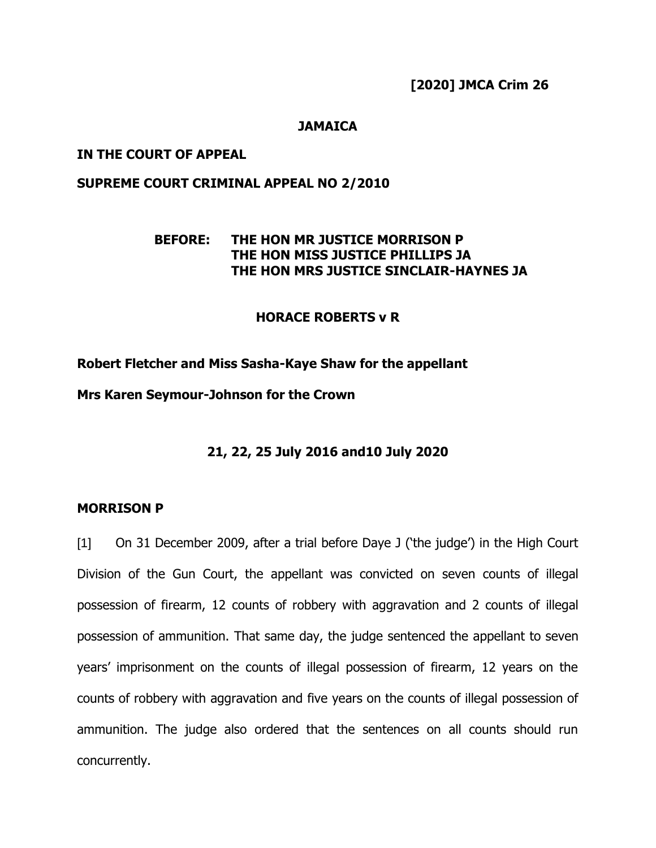**[2020] JMCA Crim 26**

#### **JAMAICA**

### **IN THE COURT OF APPEAL**

### **SUPREME COURT CRIMINAL APPEAL NO 2/2010**

### **BEFORE: THE HON MR JUSTICE MORRISON P THE HON MISS JUSTICE PHILLIPS JA THE HON MRS JUSTICE SINCLAIR-HAYNES JA**

#### **HORACE ROBERTS v R**

#### **Robert Fletcher and Miss Sasha-Kaye Shaw for the appellant**

**Mrs Karen Seymour-Johnson for the Crown**

#### **21, 22, 25 July 2016 and10 July 2020**

#### **MORRISON P**

[1] On 31 December 2009, after a trial before Daye J ('the judge') in the High Court Division of the Gun Court, the appellant was convicted on seven counts of illegal possession of firearm, 12 counts of robbery with aggravation and 2 counts of illegal possession of ammunition. That same day, the judge sentenced the appellant to seven years' imprisonment on the counts of illegal possession of firearm, 12 years on the counts of robbery with aggravation and five years on the counts of illegal possession of ammunition. The judge also ordered that the sentences on all counts should run concurrently.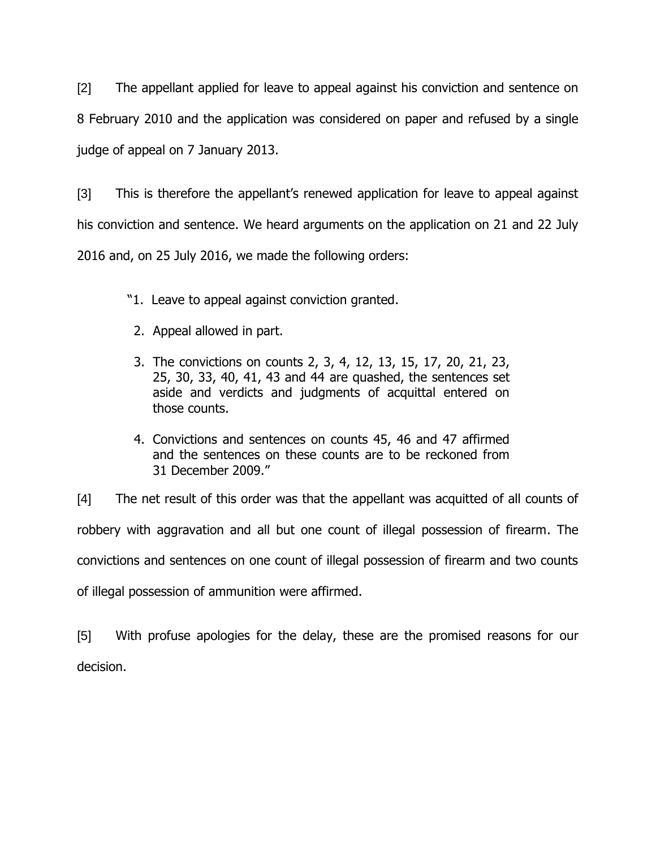[2] The appellant applied for leave to appeal against his conviction and sentence on 8 February 2010 and the application was considered on paper and refused by a single judge of appeal on 7 January 2013.

[3] This is therefore the appellant's renewed application for leave to appeal against his conviction and sentence. We heard arguments on the application on 21 and 22 July 2016 and, on 25 July 2016, we made the following orders:

- "1. Leave to appeal against conviction granted.
- 2. Appeal allowed in part.
- 3. The convictions on counts 2, 3, 4, 12, 13, 15, 17, 20, 21, 23, 25, 30, 33, 40, 41, 43 and 44 are quashed, the sentences set aside and verdicts and judgments of acquittal entered on those counts.
- 4. Convictions and sentences on counts 45, 46 and 47 affirmed and the sentences on these counts are to be reckoned from 31 December 2009."

[4] The net result of this order was that the appellant was acquitted of all counts of robbery with aggravation and all but one count of illegal possession of firearm. The convictions and sentences on one count of illegal possession of firearm and two counts of illegal possession of ammunition were affirmed.

[5] With profuse apologies for the delay, these are the promised reasons for our decision.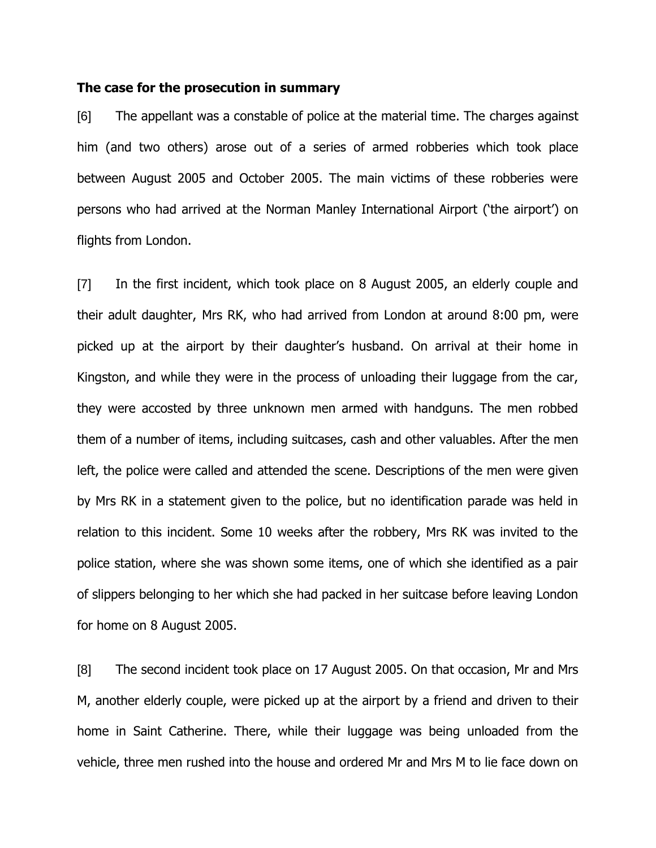#### **The case for the prosecution in summary**

[6] The appellant was a constable of police at the material time. The charges against him (and two others) arose out of a series of armed robberies which took place between August 2005 and October 2005. The main victims of these robberies were persons who had arrived at the Norman Manley International Airport ('the airport') on flights from London.

[7] In the first incident, which took place on 8 August 2005, an elderly couple and their adult daughter, Mrs RK, who had arrived from London at around 8:00 pm, were picked up at the airport by their daughter's husband. On arrival at their home in Kingston, and while they were in the process of unloading their luggage from the car, they were accosted by three unknown men armed with handguns. The men robbed them of a number of items, including suitcases, cash and other valuables. After the men left, the police were called and attended the scene. Descriptions of the men were given by Mrs RK in a statement given to the police, but no identification parade was held in relation to this incident. Some 10 weeks after the robbery, Mrs RK was invited to the police station, where she was shown some items, one of which she identified as a pair of slippers belonging to her which she had packed in her suitcase before leaving London for home on 8 August 2005.

[8] The second incident took place on 17 August 2005. On that occasion, Mr and Mrs M, another elderly couple, were picked up at the airport by a friend and driven to their home in Saint Catherine. There, while their luggage was being unloaded from the vehicle, three men rushed into the house and ordered Mr and Mrs M to lie face down on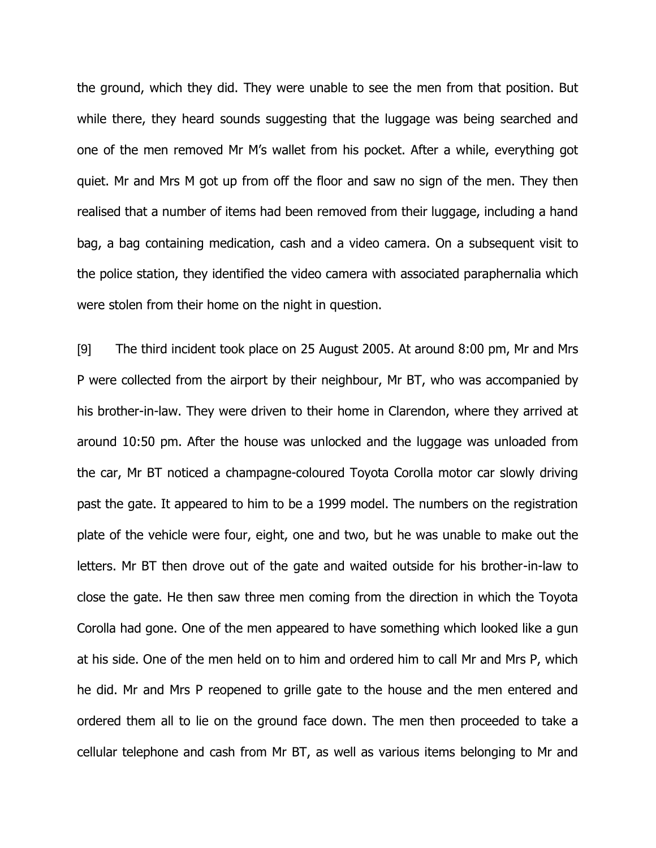the ground, which they did. They were unable to see the men from that position. But while there, they heard sounds suggesting that the luggage was being searched and one of the men removed Mr M's wallet from his pocket. After a while, everything got quiet. Mr and Mrs M got up from off the floor and saw no sign of the men. They then realised that a number of items had been removed from their luggage, including a hand bag, a bag containing medication, cash and a video camera. On a subsequent visit to the police station, they identified the video camera with associated paraphernalia which were stolen from their home on the night in question.

[9] The third incident took place on 25 August 2005. At around 8:00 pm, Mr and Mrs P were collected from the airport by their neighbour, Mr BT, who was accompanied by his brother-in-law. They were driven to their home in Clarendon, where they arrived at around 10:50 pm. After the house was unlocked and the luggage was unloaded from the car, Mr BT noticed a champagne-coloured Toyota Corolla motor car slowly driving past the gate. It appeared to him to be a 1999 model. The numbers on the registration plate of the vehicle were four, eight, one and two, but he was unable to make out the letters. Mr BT then drove out of the gate and waited outside for his brother-in-law to close the gate. He then saw three men coming from the direction in which the Toyota Corolla had gone. One of the men appeared to have something which looked like a gun at his side. One of the men held on to him and ordered him to call Mr and Mrs P, which he did. Mr and Mrs P reopened to grille gate to the house and the men entered and ordered them all to lie on the ground face down. The men then proceeded to take a cellular telephone and cash from Mr BT, as well as various items belonging to Mr and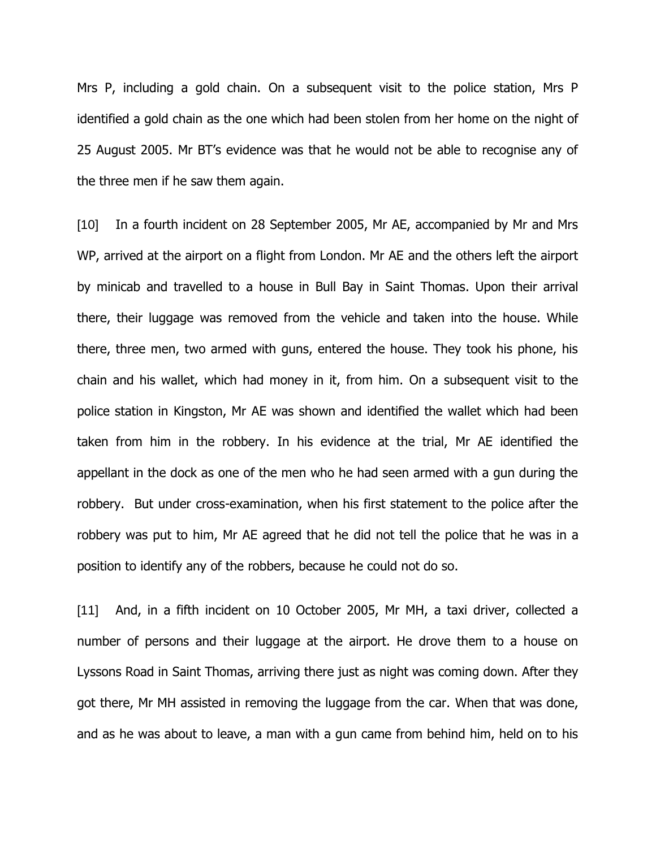Mrs P, including a gold chain. On a subsequent visit to the police station, Mrs P identified a gold chain as the one which had been stolen from her home on the night of 25 August 2005. Mr BT's evidence was that he would not be able to recognise any of the three men if he saw them again.

[10] In a fourth incident on 28 September 2005, Mr AE, accompanied by Mr and Mrs WP, arrived at the airport on a flight from London. Mr AE and the others left the airport by minicab and travelled to a house in Bull Bay in Saint Thomas. Upon their arrival there, their luggage was removed from the vehicle and taken into the house. While there, three men, two armed with guns, entered the house. They took his phone, his chain and his wallet, which had money in it, from him. On a subsequent visit to the police station in Kingston, Mr AE was shown and identified the wallet which had been taken from him in the robbery. In his evidence at the trial, Mr AE identified the appellant in the dock as one of the men who he had seen armed with a gun during the robbery. But under cross-examination, when his first statement to the police after the robbery was put to him, Mr AE agreed that he did not tell the police that he was in a position to identify any of the robbers, because he could not do so.

[11] And, in a fifth incident on 10 October 2005, Mr MH, a taxi driver, collected a number of persons and their luggage at the airport. He drove them to a house on Lyssons Road in Saint Thomas, arriving there just as night was coming down. After they got there, Mr MH assisted in removing the luggage from the car. When that was done, and as he was about to leave, a man with a gun came from behind him, held on to his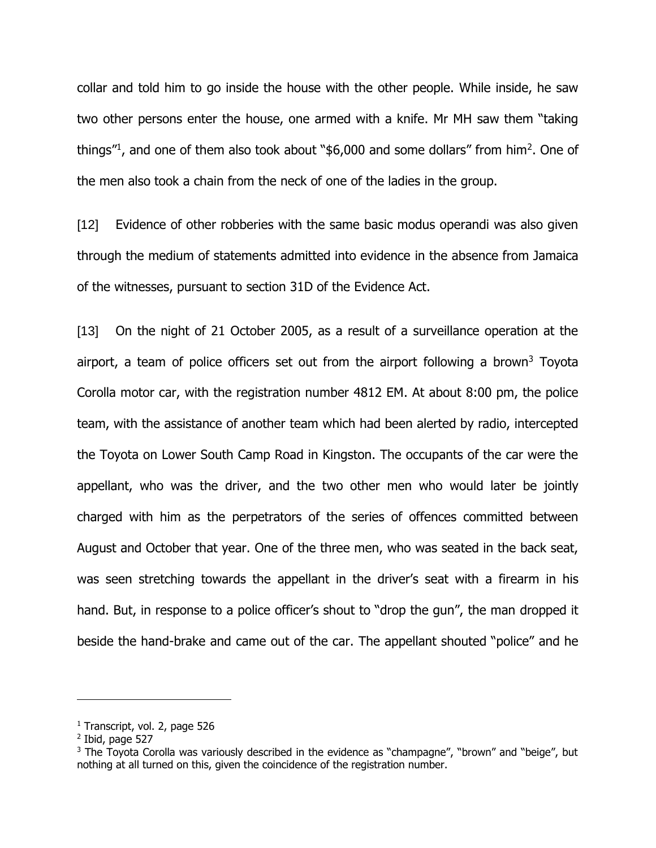collar and told him to go inside the house with the other people. While inside, he saw two other persons enter the house, one armed with a knife. Mr MH saw them "taking things"<sup>1</sup>, and one of them also took about "\$6,000 and some dollars" from him<sup>2</sup>. One of the men also took a chain from the neck of one of the ladies in the group.

[12] Evidence of other robberies with the same basic modus operandi was also given through the medium of statements admitted into evidence in the absence from Jamaica of the witnesses, pursuant to section 31D of the Evidence Act.

[13] On the night of 21 October 2005, as a result of a surveillance operation at the airport, a team of police officers set out from the airport following a brown<sup>3</sup> Toyota Corolla motor car, with the registration number 4812 EM. At about 8:00 pm, the police team, with the assistance of another team which had been alerted by radio, intercepted the Toyota on Lower South Camp Road in Kingston. The occupants of the car were the appellant, who was the driver, and the two other men who would later be jointly charged with him as the perpetrators of the series of offences committed between August and October that year. One of the three men, who was seated in the back seat, was seen stretching towards the appellant in the driver's seat with a firearm in his hand. But, in response to a police officer's shout to "drop the gun", the man dropped it beside the hand-brake and came out of the car. The appellant shouted "police" and he

<sup>&</sup>lt;sup>1</sup> Transcript, vol. 2, page 526

<sup>2</sup> Ibid, page 527

 $3$  The Toyota Corolla was variously described in the evidence as "champagne", "brown" and "beige", but nothing at all turned on this, given the coincidence of the registration number.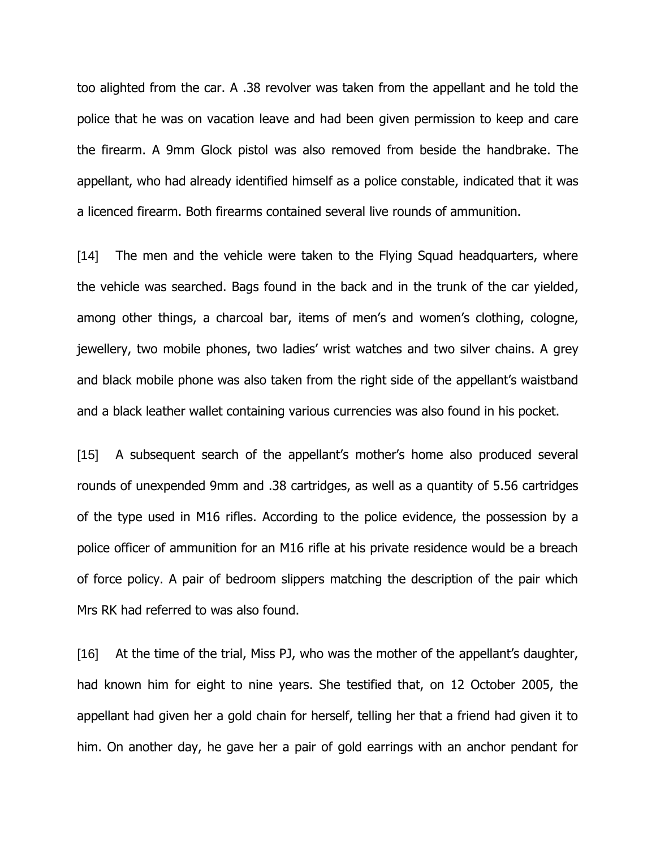too alighted from the car. A .38 revolver was taken from the appellant and he told the police that he was on vacation leave and had been given permission to keep and care the firearm. A 9mm Glock pistol was also removed from beside the handbrake. The appellant, who had already identified himself as a police constable, indicated that it was a licenced firearm. Both firearms contained several live rounds of ammunition.

[14] The men and the vehicle were taken to the Flying Squad headquarters, where the vehicle was searched. Bags found in the back and in the trunk of the car yielded, among other things, a charcoal bar, items of men's and women's clothing, cologne, jewellery, two mobile phones, two ladies' wrist watches and two silver chains. A grey and black mobile phone was also taken from the right side of the appellant's waistband and a black leather wallet containing various currencies was also found in his pocket.

[15] A subsequent search of the appellant's mother's home also produced several rounds of unexpended 9mm and .38 cartridges, as well as a quantity of 5.56 cartridges of the type used in M16 rifles. According to the police evidence, the possession by a police officer of ammunition for an M16 rifle at his private residence would be a breach of force policy. A pair of bedroom slippers matching the description of the pair which Mrs RK had referred to was also found.

[16] At the time of the trial, Miss PJ, who was the mother of the appellant's daughter, had known him for eight to nine years. She testified that, on 12 October 2005, the appellant had given her a gold chain for herself, telling her that a friend had given it to him. On another day, he gave her a pair of gold earrings with an anchor pendant for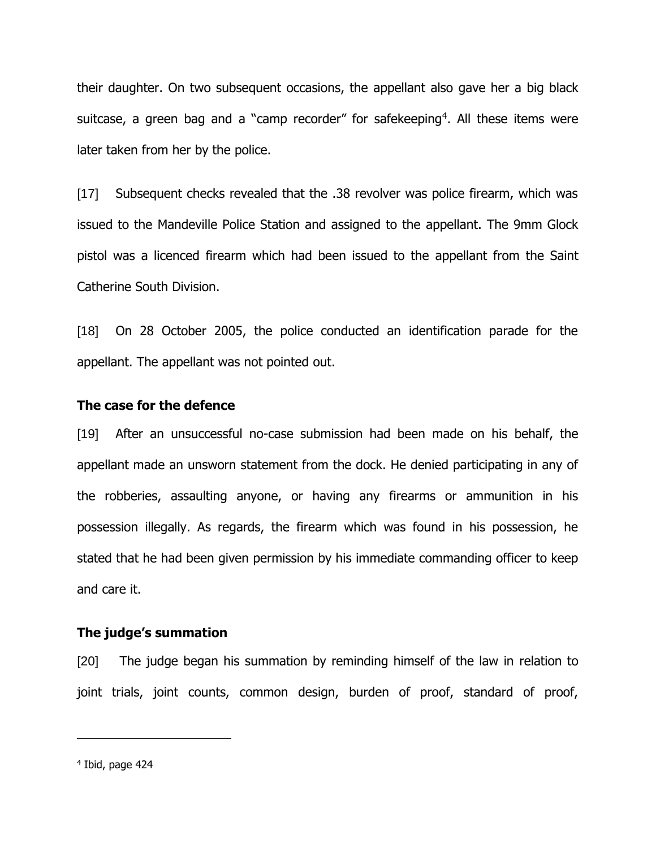their daughter. On two subsequent occasions, the appellant also gave her a big black suitcase, a green bag and a "camp recorder" for safekeeping<sup>4</sup>. All these items were later taken from her by the police.

[17] Subsequent checks revealed that the .38 revolver was police firearm, which was issued to the Mandeville Police Station and assigned to the appellant. The 9mm Glock pistol was a licenced firearm which had been issued to the appellant from the Saint Catherine South Division.

[18] On 28 October 2005, the police conducted an identification parade for the appellant. The appellant was not pointed out.

#### **The case for the defence**

[19] After an unsuccessful no-case submission had been made on his behalf, the appellant made an unsworn statement from the dock. He denied participating in any of the robberies, assaulting anyone, or having any firearms or ammunition in his possession illegally. As regards, the firearm which was found in his possession, he stated that he had been given permission by his immediate commanding officer to keep and care it.

#### **The judge's summation**

[20] The judge began his summation by reminding himself of the law in relation to joint trials, joint counts, common design, burden of proof, standard of proof,

<sup>4</sup> Ibid, page 424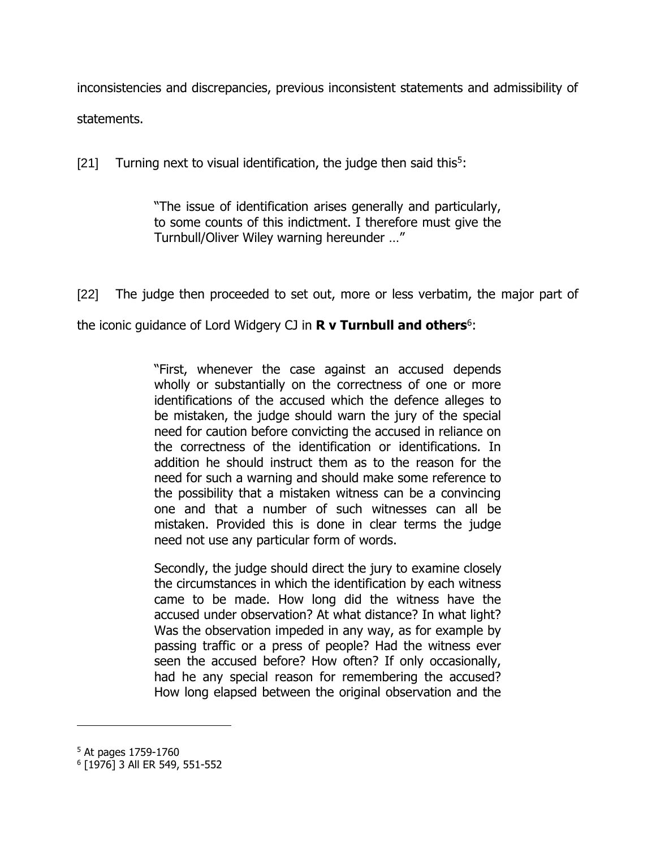inconsistencies and discrepancies, previous inconsistent statements and admissibility of statements.

[21] Turning next to visual identification, the judge then said this<sup>5</sup>:

"The issue of identification arises generally and particularly, to some counts of this indictment. I therefore must give the Turnbull/Oliver Wiley warning hereunder …"

[22] The judge then proceeded to set out, more or less verbatim, the major part of

the iconic guidance of Lord Widgery CJ in **R v Turnbull and others**<sup>6</sup> :

"First, whenever the case against an accused depends wholly or substantially on the correctness of one or more identifications of the accused which the defence alleges to be mistaken, the judge should warn the jury of the special need for caution before convicting the accused in reliance on the correctness of the identification or identifications. In addition he should instruct them as to the reason for the need for such a warning and should make some reference to the possibility that a mistaken witness can be a convincing one and that a number of such witnesses can all be mistaken. Provided this is done in clear terms the judge need not use any particular form of words.

Secondly, the judge should direct the jury to examine closely the circumstances in which the identification by each witness came to be made. How long did the witness have the accused under observation? At what distance? In what light? Was the observation impeded in any way, as for example by passing traffic or a press of people? Had the witness ever seen the accused before? How often? If only occasionally, had he any special reason for remembering the accused? How long elapsed between the original observation and the

<sup>5</sup> At pages 1759-1760

<sup>6</sup> [1976] 3 All ER 549, 551-552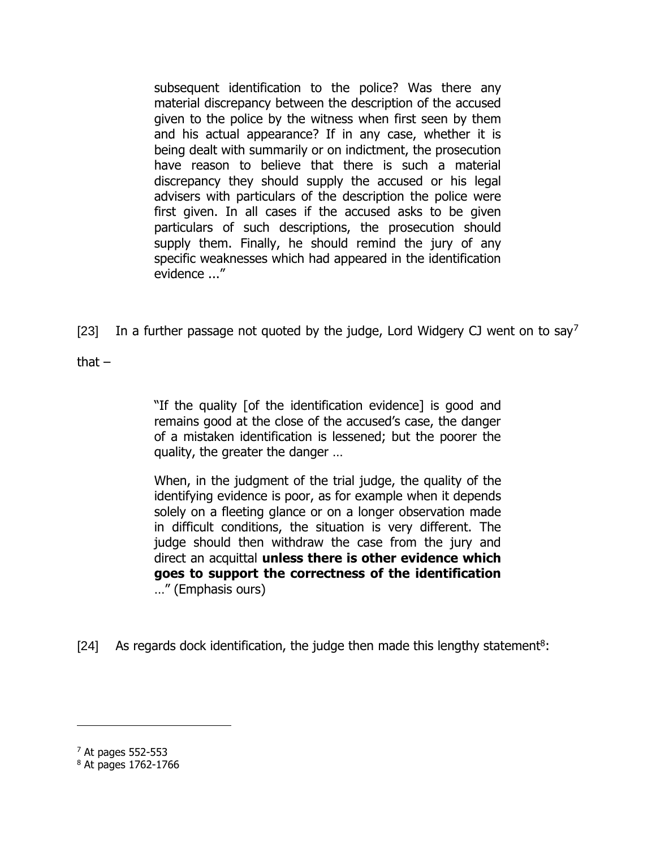subsequent identification to the police? Was there any material discrepancy between the description of the accused given to the police by the witness when first seen by them and his actual appearance? If in any case, whether it is being dealt with summarily or on indictment, the prosecution have reason to believe that there is such a material discrepancy they should supply the accused or his legal advisers with particulars of the description the police were first given. In all cases if the accused asks to be given particulars of such descriptions, the prosecution should supply them. Finally, he should remind the jury of any specific weaknesses which had appeared in the identification evidence ..."

[23] In a further passage not quoted by the judge, Lord Widgery CJ went on to say<sup>7</sup>

that  $-$ 

"If the quality [of the identification evidence] is good and remains good at the close of the accused's case, the danger of a mistaken identification is lessened; but the poorer the quality, the greater the danger …

When, in the judgment of the trial judge, the quality of the identifying evidence is poor, as for example when it depends solely on a fleeting glance or on a longer observation made in difficult conditions, the situation is very different. The judge should then withdraw the case from the jury and direct an acquittal **unless there is other evidence which goes to support the correctness of the identification** …" (Emphasis ours)

[24] As regards dock identification, the judge then made this lengthy statement<sup>8</sup>:

 $<sup>7</sup>$  At pages 552-553</sup>

<sup>8</sup> At pages 1762-1766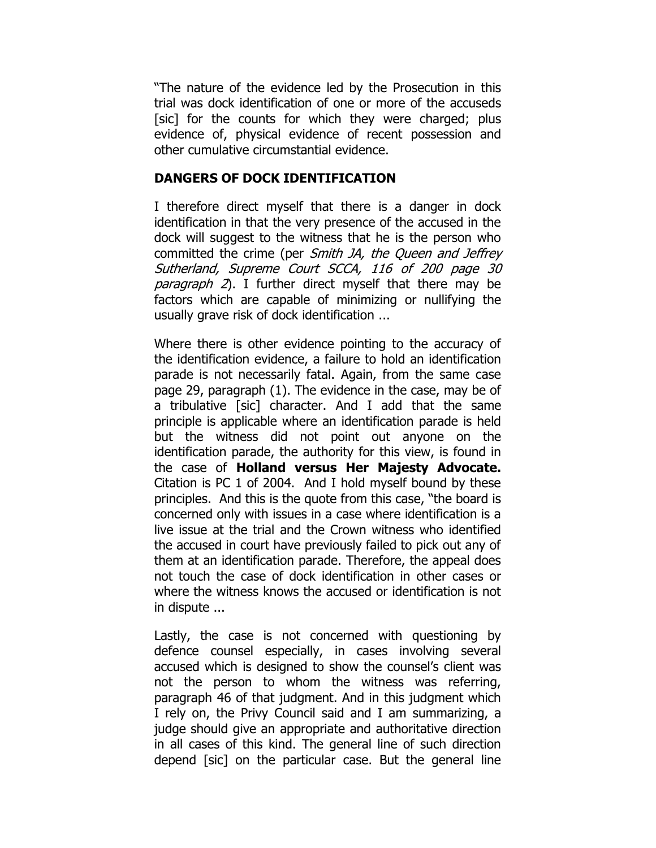"The nature of the evidence led by the Prosecution in this trial was dock identification of one or more of the accuseds [sic] for the counts for which they were charged; plus evidence of, physical evidence of recent possession and other cumulative circumstantial evidence.

## **DANGERS OF DOCK IDENTIFICATION**

I therefore direct myself that there is a danger in dock identification in that the very presence of the accused in the dock will suggest to the witness that he is the person who committed the crime (per Smith JA, the Queen and Jeffrey Sutherland, Supreme Court SCCA, 116 of 200 page 30 *paragraph 2*). I further direct myself that there may be factors which are capable of minimizing or nullifying the usually grave risk of dock identification ...

Where there is other evidence pointing to the accuracy of the identification evidence, a failure to hold an identification parade is not necessarily fatal. Again, from the same case page 29, paragraph (1). The evidence in the case, may be of a tribulative [sic] character. And I add that the same principle is applicable where an identification parade is held but the witness did not point out anyone on the identification parade, the authority for this view, is found in the case of **Holland versus Her Majesty Advocate.** Citation is PC 1 of 2004. And I hold myself bound by these principles. And this is the quote from this case, "the board is concerned only with issues in a case where identification is a live issue at the trial and the Crown witness who identified the accused in court have previously failed to pick out any of them at an identification parade. Therefore, the appeal does not touch the case of dock identification in other cases or where the witness knows the accused or identification is not in dispute ...

Lastly, the case is not concerned with questioning by defence counsel especially, in cases involving several accused which is designed to show the counsel's client was not the person to whom the witness was referring, paragraph 46 of that judgment. And in this judgment which I rely on, the Privy Council said and I am summarizing, a judge should give an appropriate and authoritative direction in all cases of this kind. The general line of such direction depend [sic] on the particular case. But the general line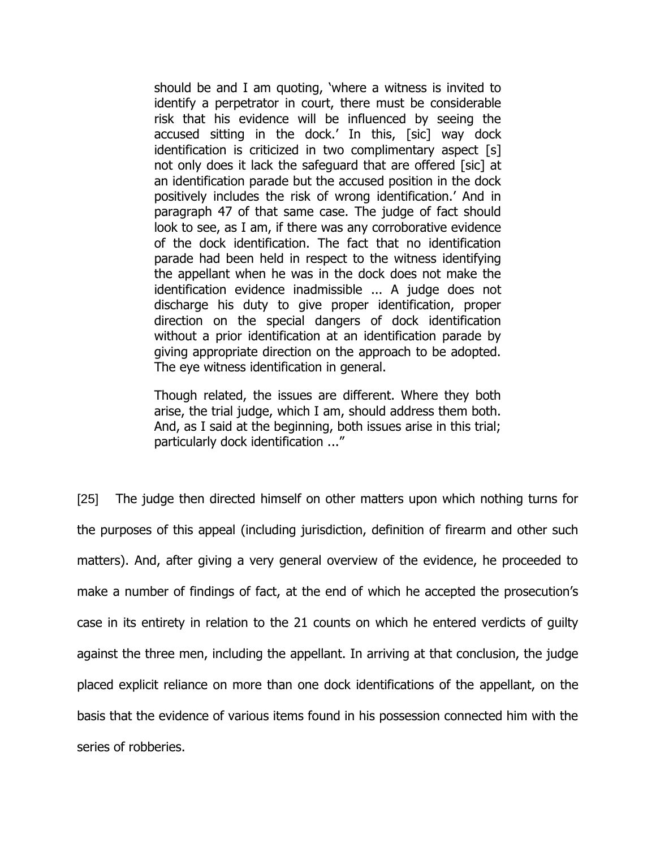should be and I am quoting, 'where a witness is invited to identify a perpetrator in court, there must be considerable risk that his evidence will be influenced by seeing the accused sitting in the dock.' In this, [sic] way dock identification is criticized in two complimentary aspect [s] not only does it lack the safeguard that are offered [sic] at an identification parade but the accused position in the dock positively includes the risk of wrong identification.' And in paragraph 47 of that same case. The judge of fact should look to see, as I am, if there was any corroborative evidence of the dock identification. The fact that no identification parade had been held in respect to the witness identifying the appellant when he was in the dock does not make the identification evidence inadmissible ... A judge does not discharge his duty to give proper identification, proper direction on the special dangers of dock identification without a prior identification at an identification parade by giving appropriate direction on the approach to be adopted. The eye witness identification in general.

Though related, the issues are different. Where they both arise, the trial judge, which I am, should address them both. And, as I said at the beginning, both issues arise in this trial; particularly dock identification ..."

[25] The judge then directed himself on other matters upon which nothing turns for the purposes of this appeal (including jurisdiction, definition of firearm and other such matters). And, after giving a very general overview of the evidence, he proceeded to make a number of findings of fact, at the end of which he accepted the prosecution's case in its entirety in relation to the 21 counts on which he entered verdicts of guilty against the three men, including the appellant. In arriving at that conclusion, the judge placed explicit reliance on more than one dock identifications of the appellant, on the basis that the evidence of various items found in his possession connected him with the series of robberies.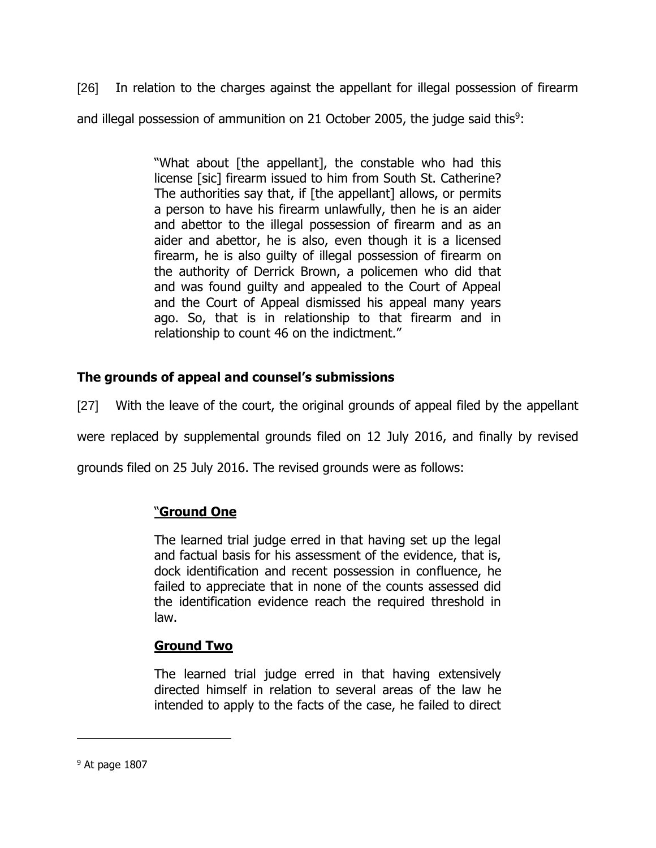[26] In relation to the charges against the appellant for illegal possession of firearm and illegal possession of ammunition on 21 October 2005, the judge said this<sup>9</sup>:

> "What about [the appellant], the constable who had this license [sic] firearm issued to him from South St. Catherine? The authorities say that, if [the appellant] allows, or permits a person to have his firearm unlawfully, then he is an aider and abettor to the illegal possession of firearm and as an aider and abettor, he is also, even though it is a licensed firearm, he is also guilty of illegal possession of firearm on the authority of Derrick Brown, a policemen who did that and was found guilty and appealed to the Court of Appeal and the Court of Appeal dismissed his appeal many years ago. So, that is in relationship to that firearm and in relationship to count 46 on the indictment."

## **The grounds of appeal and counsel's submissions**

[27] With the leave of the court, the original grounds of appeal filed by the appellant

were replaced by supplemental grounds filed on 12 July 2016, and finally by revised

grounds filed on 25 July 2016. The revised grounds were as follows:

## "**Ground One**

The learned trial judge erred in that having set up the legal and factual basis for his assessment of the evidence, that is, dock identification and recent possession in confluence, he failed to appreciate that in none of the counts assessed did the identification evidence reach the required threshold in law.

### **Ground Two**

The learned trial judge erred in that having extensively directed himself in relation to several areas of the law he intended to apply to the facts of the case, he failed to direct

 $9$  At page 1807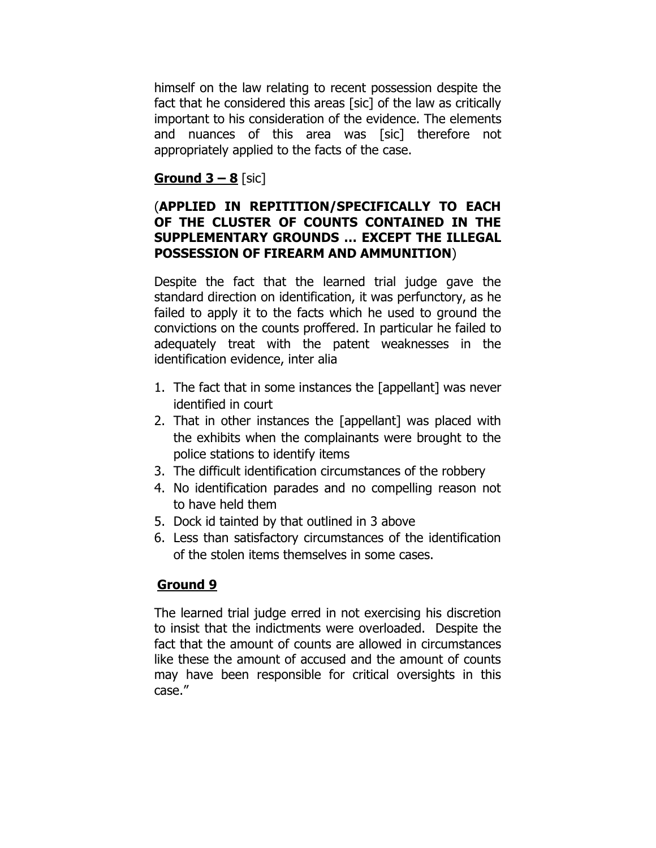himself on the law relating to recent possession despite the fact that he considered this areas [sic] of the law as critically important to his consideration of the evidence. The elements and nuances of this area was [sic] therefore not appropriately applied to the facts of the case.

## **<u>Ground 3 – 8</u>** [sic]

## (**APPLIED IN REPITITION/SPECIFICALLY TO EACH OF THE CLUSTER OF COUNTS CONTAINED IN THE SUPPLEMENTARY GROUNDS … EXCEPT THE ILLEGAL POSSESSION OF FIREARM AND AMMUNITION**)

Despite the fact that the learned trial judge gave the standard direction on identification, it was perfunctory, as he failed to apply it to the facts which he used to ground the convictions on the counts proffered. In particular he failed to adequately treat with the patent weaknesses in the identification evidence, inter alia

- 1. The fact that in some instances the [appellant] was never identified in court
- 2. That in other instances the [appellant] was placed with the exhibits when the complainants were brought to the police stations to identify items
- 3. The difficult identification circumstances of the robbery
- 4. No identification parades and no compelling reason not to have held them
- 5. Dock id tainted by that outlined in 3 above
- 6. Less than satisfactory circumstances of the identification of the stolen items themselves in some cases.

# **Ground 9**

The learned trial judge erred in not exercising his discretion to insist that the indictments were overloaded. Despite the fact that the amount of counts are allowed in circumstances like these the amount of accused and the amount of counts may have been responsible for critical oversights in this case."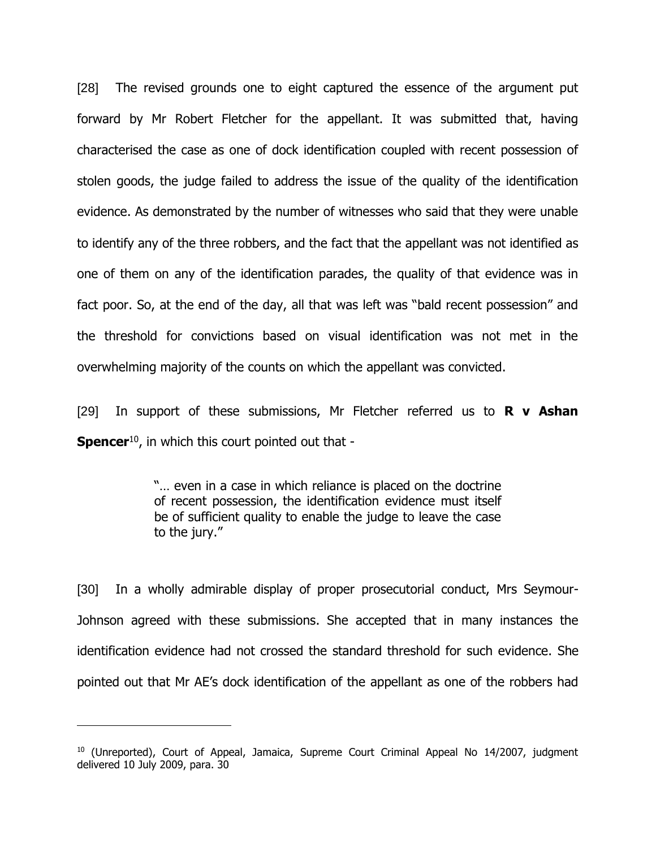[28] The revised grounds one to eight captured the essence of the argument put forward by Mr Robert Fletcher for the appellant. It was submitted that, having characterised the case as one of dock identification coupled with recent possession of stolen goods, the judge failed to address the issue of the quality of the identification evidence. As demonstrated by the number of witnesses who said that they were unable to identify any of the three robbers, and the fact that the appellant was not identified as one of them on any of the identification parades, the quality of that evidence was in fact poor. So, at the end of the day, all that was left was "bald recent possession" and the threshold for convictions based on visual identification was not met in the overwhelming majority of the counts on which the appellant was convicted.

[29] In support of these submissions, Mr Fletcher referred us to **R v Ashan Spencer**<sup>10</sup>, in which this court pointed out that -

> "… even in a case in which reliance is placed on the doctrine of recent possession, the identification evidence must itself be of sufficient quality to enable the judge to leave the case to the jury."

[30] In a wholly admirable display of proper prosecutorial conduct, Mrs Seymour-Johnson agreed with these submissions. She accepted that in many instances the identification evidence had not crossed the standard threshold for such evidence. She pointed out that Mr AE's dock identification of the appellant as one of the robbers had

 $10$  (Unreported), Court of Appeal, Jamaica, Supreme Court Criminal Appeal No 14/2007, judgment delivered 10 July 2009, para. 30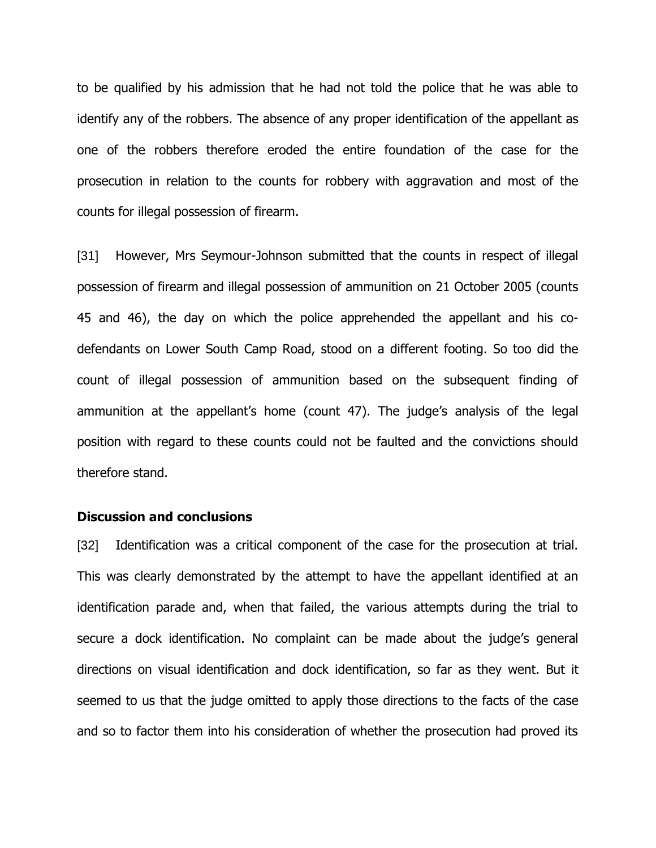to be qualified by his admission that he had not told the police that he was able to identify any of the robbers. The absence of any proper identification of the appellant as one of the robbers therefore eroded the entire foundation of the case for the prosecution in relation to the counts for robbery with aggravation and most of the counts for illegal possession of firearm.

[31] However, Mrs Seymour-Johnson submitted that the counts in respect of illegal possession of firearm and illegal possession of ammunition on 21 October 2005 (counts 45 and 46), the day on which the police apprehended the appellant and his codefendants on Lower South Camp Road, stood on a different footing. So too did the count of illegal possession of ammunition based on the subsequent finding of ammunition at the appellant's home (count 47). The judge's analysis of the legal position with regard to these counts could not be faulted and the convictions should therefore stand.

#### **Discussion and conclusions**

[32] Identification was a critical component of the case for the prosecution at trial. This was clearly demonstrated by the attempt to have the appellant identified at an identification parade and, when that failed, the various attempts during the trial to secure a dock identification. No complaint can be made about the judge's general directions on visual identification and dock identification, so far as they went. But it seemed to us that the judge omitted to apply those directions to the facts of the case and so to factor them into his consideration of whether the prosecution had proved its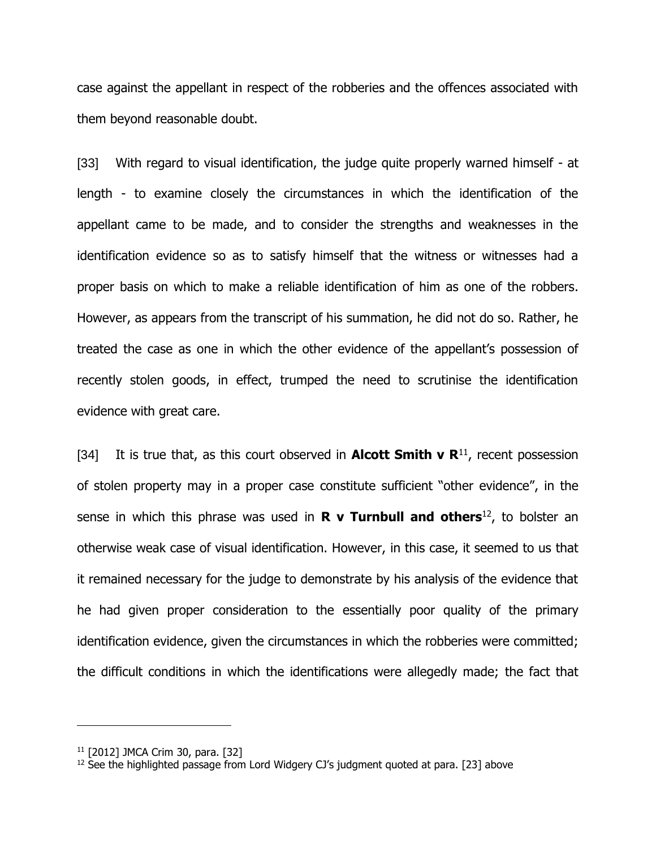case against the appellant in respect of the robberies and the offences associated with them beyond reasonable doubt.

[33] With regard to visual identification, the judge quite properly warned himself - at length - to examine closely the circumstances in which the identification of the appellant came to be made, and to consider the strengths and weaknesses in the identification evidence so as to satisfy himself that the witness or witnesses had a proper basis on which to make a reliable identification of him as one of the robbers. However, as appears from the transcript of his summation, he did not do so. Rather, he treated the case as one in which the other evidence of the appellant's possession of recently stolen goods, in effect, trumped the need to scrutinise the identification evidence with great care.

[34] It is true that, as this court observed in **Alcott Smith v R**<sup>11</sup>, recent possession of stolen property may in a proper case constitute sufficient "other evidence", in the sense in which this phrase was used in **R v Turnbull and others**<sup>12</sup> , to bolster an otherwise weak case of visual identification. However, in this case, it seemed to us that it remained necessary for the judge to demonstrate by his analysis of the evidence that he had given proper consideration to the essentially poor quality of the primary identification evidence, given the circumstances in which the robberies were committed; the difficult conditions in which the identifications were allegedly made; the fact that

<sup>11</sup> [2012] JMCA Crim 30, para. [32]

 $12$  See the highlighted passage from Lord Widgery CJ's judgment quoted at para. [23] above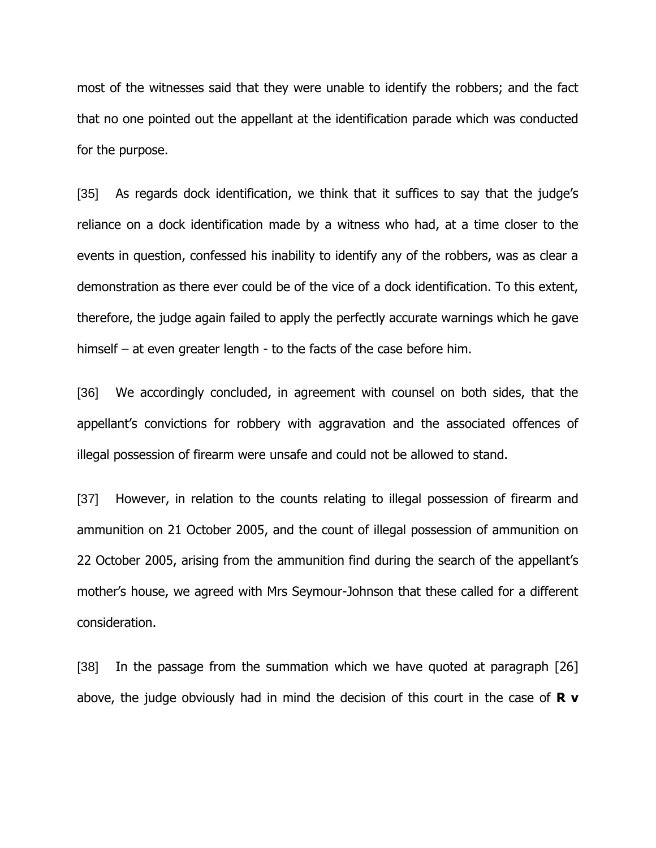most of the witnesses said that they were unable to identify the robbers; and the fact that no one pointed out the appellant at the identification parade which was conducted for the purpose.

[35] As regards dock identification, we think that it suffices to say that the judge's reliance on a dock identification made by a witness who had, at a time closer to the events in question, confessed his inability to identify any of the robbers, was as clear a demonstration as there ever could be of the vice of a dock identification. To this extent, therefore, the judge again failed to apply the perfectly accurate warnings which he gave himself – at even greater length - to the facts of the case before him.

[36] We accordingly concluded, in agreement with counsel on both sides, that the appellant's convictions for robbery with aggravation and the associated offences of illegal possession of firearm were unsafe and could not be allowed to stand.

[37] However, in relation to the counts relating to illegal possession of firearm and ammunition on 21 October 2005, and the count of illegal possession of ammunition on 22 October 2005, arising from the ammunition find during the search of the appellant's mother's house, we agreed with Mrs Seymour-Johnson that these called for a different consideration.

[38] In the passage from the summation which we have quoted at paragraph [26] above, the judge obviously had in mind the decision of this court in the case of **R v**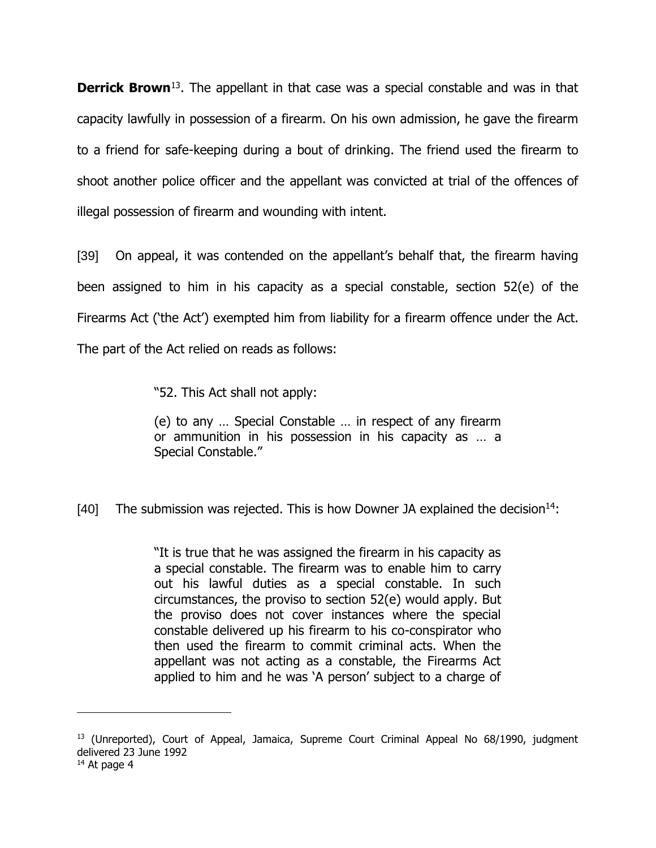**Derrick Brown**<sup>13</sup>. The appellant in that case was a special constable and was in that capacity lawfully in possession of a firearm. On his own admission, he gave the firearm to a friend for safe-keeping during a bout of drinking. The friend used the firearm to shoot another police officer and the appellant was convicted at trial of the offences of illegal possession of firearm and wounding with intent.

[39] On appeal, it was contended on the appellant's behalf that, the firearm having been assigned to him in his capacity as a special constable, section 52(e) of the Firearms Act ('the Act') exempted him from liability for a firearm offence under the Act. The part of the Act relied on reads as follows:

"52. This Act shall not apply:

(e) to any … Special Constable … in respect of any firearm or ammunition in his possession in his capacity as … a Special Constable."

[40] The submission was rejected. This is how Downer JA explained the decision<sup>14</sup>:

"It is true that he was assigned the firearm in his capacity as a special constable. The firearm was to enable him to carry out his lawful duties as a special constable. In such circumstances, the proviso to section 52(e) would apply. But the proviso does not cover instances where the special constable delivered up his firearm to his co-conspirator who then used the firearm to commit criminal acts. When the appellant was not acting as a constable, the Firearms Act applied to him and he was 'A person' subject to a charge of

 $13$  (Unreported), Court of Appeal, Jamaica, Supreme Court Criminal Appeal No  $68/1990$ , judgment delivered 23 June 1992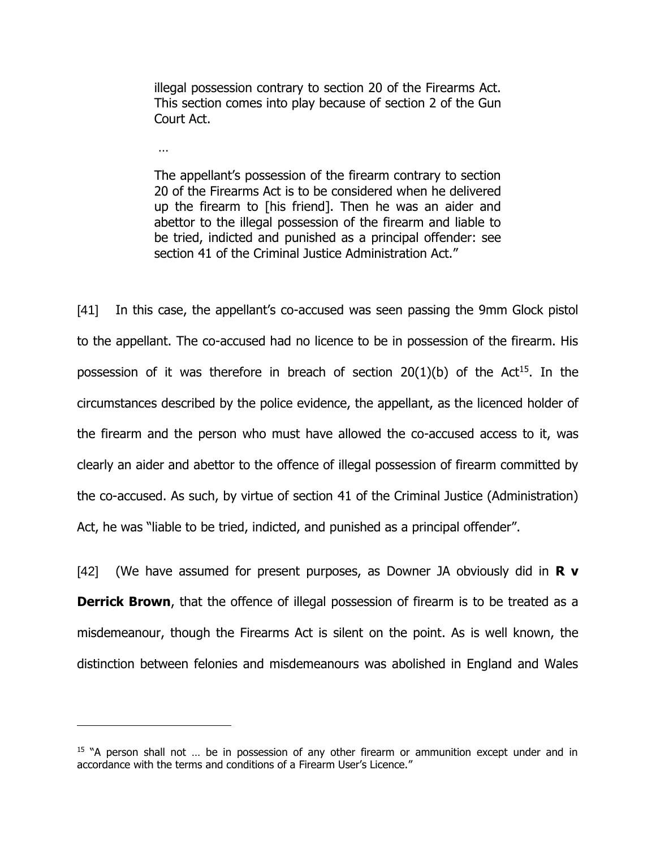illegal possession contrary to section 20 of the Firearms Act. This section comes into play because of section 2 of the Gun Court Act.

…

 $\overline{a}$ 

The appellant's possession of the firearm contrary to section 20 of the Firearms Act is to be considered when he delivered up the firearm to [his friend]. Then he was an aider and abettor to the illegal possession of the firearm and liable to be tried, indicted and punished as a principal offender: see section 41 of the Criminal Justice Administration Act."

[41] In this case, the appellant's co-accused was seen passing the 9mm Glock pistol to the appellant. The co-accused had no licence to be in possession of the firearm. His possession of it was therefore in breach of section  $20(1)(b)$  of the Act<sup>15</sup>. In the circumstances described by the police evidence, the appellant, as the licenced holder of the firearm and the person who must have allowed the co-accused access to it, was clearly an aider and abettor to the offence of illegal possession of firearm committed by the co-accused. As such, by virtue of section 41 of the Criminal Justice (Administration) Act, he was "liable to be tried, indicted, and punished as a principal offender".

[42] (We have assumed for present purposes, as Downer JA obviously did in **R v Derrick Brown**, that the offence of illegal possession of firearm is to be treated as a misdemeanour, though the Firearms Act is silent on the point. As is well known, the distinction between felonies and misdemeanours was abolished in England and Wales

 $15$  "A person shall not ... be in possession of any other firearm or ammunition except under and in accordance with the terms and conditions of a Firearm User's Licence."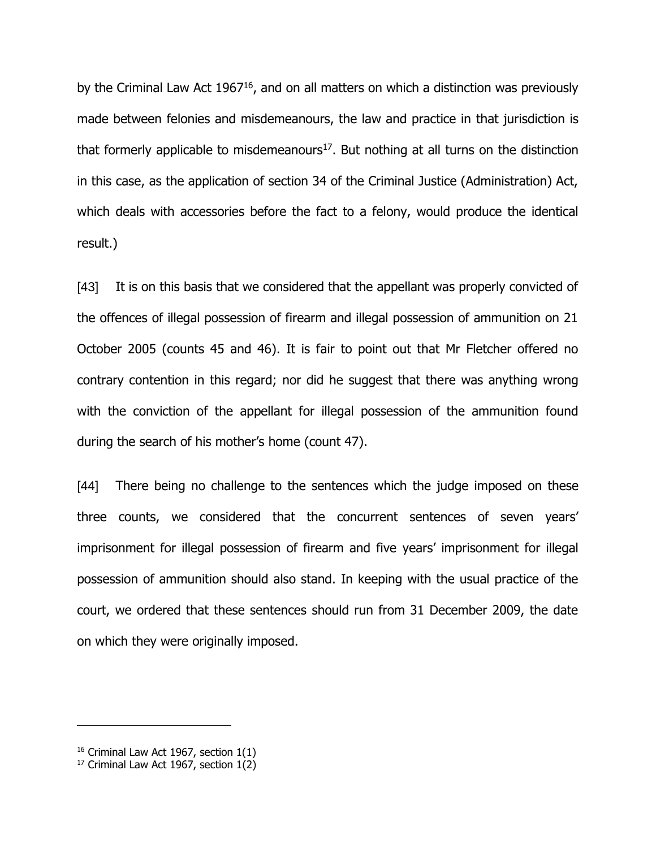by the Criminal Law Act 1967<sup>16</sup>, and on all matters on which a distinction was previously made between felonies and misdemeanours, the law and practice in that jurisdiction is that formerly applicable to misdemeanours<sup>17</sup>. But nothing at all turns on the distinction in this case, as the application of section 34 of the Criminal Justice (Administration) Act, which deals with accessories before the fact to a felony, would produce the identical result.)

[43] It is on this basis that we considered that the appellant was properly convicted of the offences of illegal possession of firearm and illegal possession of ammunition on 21 October 2005 (counts 45 and 46). It is fair to point out that Mr Fletcher offered no contrary contention in this regard; nor did he suggest that there was anything wrong with the conviction of the appellant for illegal possession of the ammunition found during the search of his mother's home (count 47).

[44] There being no challenge to the sentences which the judge imposed on these three counts, we considered that the concurrent sentences of seven years' imprisonment for illegal possession of firearm and five years' imprisonment for illegal possession of ammunition should also stand. In keeping with the usual practice of the court, we ordered that these sentences should run from 31 December 2009, the date on which they were originally imposed.

 $16$  Criminal Law Act 1967, section 1(1)

 $17$  Criminal Law Act 1967, section  $1(2)$